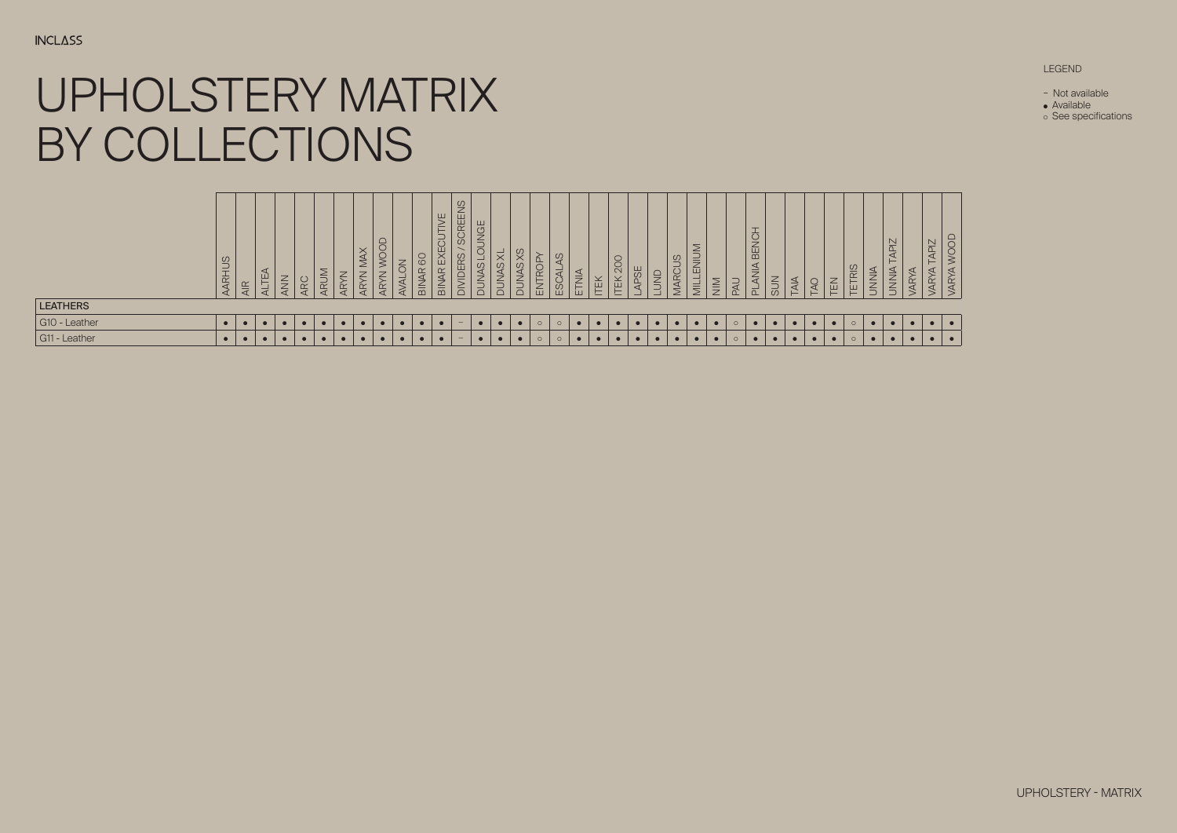#### UPHOLSTERY MATRIX BY COLLECTIONS  $\blacksquare$  - Calma  $\blacksquare$  - Calma  $\blacksquare$  -  $\blacksquare$  -  $\blacksquare$  -  $\blacksquare$  -  $\blacksquare$  -  $\blacksquare$  -  $\blacksquare$  -  $\blacksquare$  -  $\blacksquare$  -  $\blacksquare$  -  $\blacksquare$  -  $\blacksquare$  -  $\blacksquare$  -  $\blacksquare$  -  $\blacksquare$  -  $\blacksquare$  -  $\blacksquare$  -  $\blacksquare$  -  $\blacksquare$  -  $\blacksquare$  -  $\blacksquare$  -  $\$ G3 - Rivet ● ● ● ● ● ● ● ● ● ● ● ● ● ● ● ● ● ● ● ● ● ● ● ● ● ● ● ● ● ● ● ● ● ● ● ● ● ● G3 - ERA - ERA - BUGA - BUGA - BUGA - BUGA - BUGA - BUGA - BUGA - BUGA - BUGA - BUGA - BUGA - BUGA - BUGA - BU G3 - Medley ● ● ● ● ● ● ● ● ● ● ● ● ● ● ● ● ● ● ● ● ● ● ● ● ● ● ● ● ● ● ● ● ● ● ● ● ● ●  $\Box V$  / Main Line Flax  $\Box V$  and  $\Box V$  $\Box$  - Connect - Connect  $\Box$  - Connect  $\Box$ BY COLLECTIONS UPHOLSTERY MATR

- Not available Not available
	- Available
- See specifications

### LEGEND

| <b>LEATHERS</b> | AARHUS    | $\overline{\mathsf{A}}$ R | $\prec$<br><b>ALTE</b> | NNN       | <b>ARC</b> | ARUM      | ⇁<br>$\Leftarrow$<br>$\overline{AR}$ | $\times$<br>$\preceq$<br>∠<br>$\rightarrow$<br>$\Leftarrow$<br>ÁΡ | <b>JOOD</b><br>$\,<\,$<br>$\rightarrow$<br>⇐<br>$\overline{4}$ | ⇁<br>ą<br><b>AVAL</b> | <b>BINAR 60</b> | <b>JAR EXECUTIVE</b><br>$\overline{\mathsf{B}}$ | $\frac{0}{2}$<br><b>SCREEM</b><br><b>DIVIDERS</b> | JGE<br>$rac{1}{2}$<br>C,<br>-<br>JAS<br><b>SUN</b> | ₹<br>SAN<br>$\leq$<br>$\overline{\triangle}$ | $\infty$<br>JAS<br>$\frac{1}{2}$ | <b>ROP</b><br>ENT | $\frac{3}{2}$<br>ESCAL | ETNIA | <b>ITEK</b> | 200<br><b>ITEK</b> | APSE<br>السا | $\overline{5}$<br>$\overline{\phantom{0}}$<br>— | $\overline{\omega}$<br>MARCL | $\geq$<br>$\equiv$<br>靣<br>-<br>$\overline{\mathbb{R}}$ | $\overline{\text{NIN}}$ | $\overline{\phantom{0}}$<br>区 | $\overline{\phantom{0}}$<br><b>BENCH</b><br>$\leq$<br>₹<br>군 | <b>NUS</b> | TAIA | <b>DAT</b> | TEN       | TETRIS  | <b>NINNIA</b> | <b>ZIdy</b><br>–<br>$\frac{4}{7}$<br>$\leq$<br>$\leq$<br>$\overline{\phantom{0}}$ | ÄR | <b>APIZ</b><br>⊢<br>ΆR |  |
|-----------------|-----------|---------------------------|------------------------|-----------|------------|-----------|--------------------------------------|-------------------------------------------------------------------|----------------------------------------------------------------|-----------------------|-----------------|-------------------------------------------------|---------------------------------------------------|----------------------------------------------------|----------------------------------------------|----------------------------------|-------------------|------------------------|-------|-------------|--------------------|--------------|-------------------------------------------------|------------------------------|---------------------------------------------------------|-------------------------|-------------------------------|--------------------------------------------------------------|------------|------|------------|-----------|---------|---------------|-----------------------------------------------------------------------------------|----|------------------------|--|
| G10 - Leather   | $\bullet$ |                           | $\bullet$              | $\bullet$ |            |           |                                      | $\bullet$                                                         | $\bullet$                                                      | $\bullet$             | $\bullet$       |                                                 | $\overline{\phantom{m}}$                          |                                                    |                                              |                                  | $\circ$           | $\circ$                |       | $\bullet$   | $\bullet$          | $\bullet$    | $\bullet$                                       | $\bullet$                    | $\bullet$                                               | $\bullet$               | $\circ$                       |                                                              |            |      | $\bullet$  | $\bullet$ | $\circ$ | $\bullet$     |                                                                                   |    |                        |  |
| G11 - Leather   | $\bullet$ | $\bullet$                 | $\bullet$              |           |            | $\bullet$ |                                      | $\bullet$                                                         | $\bullet$                                                      | $\bullet$             | $\bullet$       |                                                 | $\overline{\phantom{m}}$                          |                                                    |                                              |                                  | $\circ$           | $\circ$                |       |             | $\bullet$          | $\bullet$    | $\bullet$                                       | $\bullet$                    | $\bullet$                                               | $\bullet$               | $\circ$                       |                                                              | $\bullet$  |      | $\bullet$  | $\bullet$ | $\circ$ | $\bullet$     |                                                                                   |    |                        |  |



UPHOLSTERY - MATRIX UPHOLSTERY - MATRIX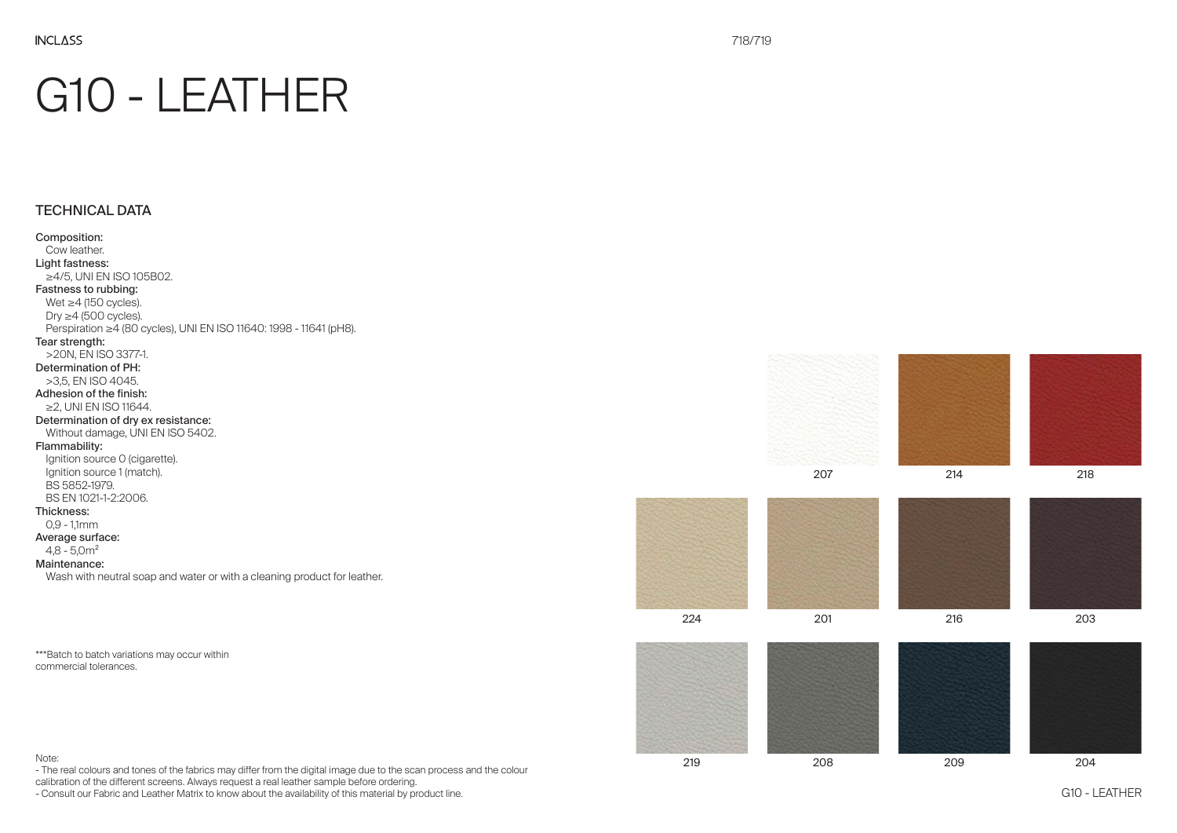# G10 - LEATHER

# TECHNICAL DATA

### Composition: Cow leather. Light fastness: ≥4/5, UNI EN ISO 105B02. Fastness to rubbing: Wet  $\geq$ 4 (150 cycles). Dry  $\geq$ 4 (500 cycles). Perspiration ≥4 (80 cycles), UNI EN ISO 11640: 1998 - 11641 (pH8). Tear strength: >20N, EN ISO 3377-1. Determination of PH: >3,5, EN ISO 4045. Adhesion of the finish: ≥2, UNI EN ISO 11644. Determination of dry ex resistance: Without damage, UNI EN ISO 5402. Flammability: Ignition source O (cigarette). Ignition source 1 (match). BS 5852-1979. BS EN 1021-1-2:2006. Thickness: 0,9 - 1,1mm Average surface:  $4.8 - 5.0$  m<sup>2</sup> Maintenance: Wash with neutral soap and water or with a cleaning product for leather.

\*\*\*Batch to batch variations may occur within commercial tolerances.

218











224 201 216 203



219 208 209 204





#### Note:

- The real colours and tones of the fabrics may differ from the digital image due to the scan process and the colour

calibration of the different screens. Always request a real leather sample before ordering.

- Consult our Fabric and Leather Matrix to know about the availability of this material by product line.